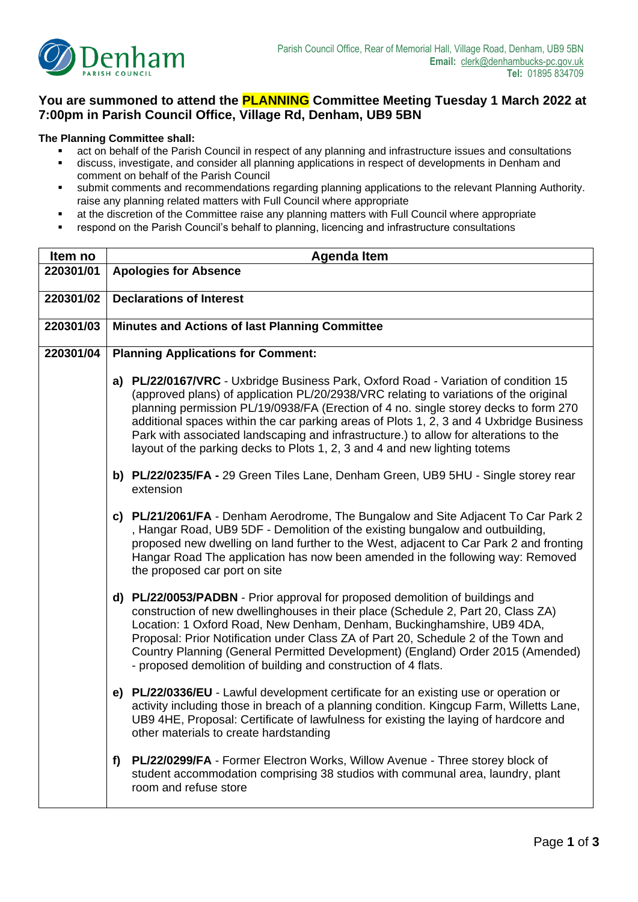

## **You are summoned to attend the PLANNING Committee Meeting Tuesday 1 March 2022 at 7:00pm in Parish Council Office, Village Rd, Denham, UB9 5BN**

## **The Planning Committee shall:**

- act on behalf of the Parish Council in respect of any planning and infrastructure issues and consultations
- **■** discuss, investigate, and consider all planning applications in respect of developments in Denham and comment on behalf of the Parish Council
- submit comments and recommendations regarding planning applications to the relevant Planning Authority. raise any planning related matters with Full Council where appropriate
- at the discretion of the Committee raise any planning matters with Full Council where appropriate
- respond on the Parish Council's behalf to planning, licencing and infrastructure consultations

| Item no   | <b>Agenda Item</b>                                                                                                                                                                                                                                                                                                                                                                                                                                                                                                                     |  |  |  |  |
|-----------|----------------------------------------------------------------------------------------------------------------------------------------------------------------------------------------------------------------------------------------------------------------------------------------------------------------------------------------------------------------------------------------------------------------------------------------------------------------------------------------------------------------------------------------|--|--|--|--|
| 220301/01 | <b>Apologies for Absence</b>                                                                                                                                                                                                                                                                                                                                                                                                                                                                                                           |  |  |  |  |
| 220301/02 | <b>Declarations of Interest</b>                                                                                                                                                                                                                                                                                                                                                                                                                                                                                                        |  |  |  |  |
| 220301/03 | <b>Minutes and Actions of last Planning Committee</b>                                                                                                                                                                                                                                                                                                                                                                                                                                                                                  |  |  |  |  |
| 220301/04 | <b>Planning Applications for Comment:</b>                                                                                                                                                                                                                                                                                                                                                                                                                                                                                              |  |  |  |  |
|           | a) PL/22/0167/VRC - Uxbridge Business Park, Oxford Road - Variation of condition 15<br>(approved plans) of application PL/20/2938/VRC relating to variations of the original<br>planning permission PL/19/0938/FA (Erection of 4 no. single storey decks to form 270<br>additional spaces within the car parking areas of Plots 1, 2, 3 and 4 Uxbridge Business<br>Park with associated landscaping and infrastructure.) to allow for alterations to the<br>layout of the parking decks to Plots 1, 2, 3 and 4 and new lighting totems |  |  |  |  |
|           | b) PL/22/0235/FA - 29 Green Tiles Lane, Denham Green, UB9 5HU - Single storey rear<br>extension                                                                                                                                                                                                                                                                                                                                                                                                                                        |  |  |  |  |
|           | c) PL/21/2061/FA - Denham Aerodrome, The Bungalow and Site Adjacent To Car Park 2<br>, Hangar Road, UB9 5DF - Demolition of the existing bungalow and outbuilding,<br>proposed new dwelling on land further to the West, adjacent to Car Park 2 and fronting<br>Hangar Road The application has now been amended in the following way: Removed<br>the proposed car port on site                                                                                                                                                        |  |  |  |  |
|           | d) PL/22/0053/PADBN - Prior approval for proposed demolition of buildings and<br>construction of new dwellinghouses in their place (Schedule 2, Part 20, Class ZA)<br>Location: 1 Oxford Road, New Denham, Denham, Buckinghamshire, UB9 4DA,<br>Proposal: Prior Notification under Class ZA of Part 20, Schedule 2 of the Town and<br>Country Planning (General Permitted Development) (England) Order 2015 (Amended)<br>- proposed demolition of building and construction of 4 flats.                                                |  |  |  |  |
|           | e) PL/22/0336/EU - Lawful development certificate for an existing use or operation or<br>activity including those in breach of a planning condition. Kingcup Farm, Willetts Lane,<br>UB9 4HE, Proposal: Certificate of lawfulness for existing the laying of hardcore and<br>other materials to create hardstanding                                                                                                                                                                                                                    |  |  |  |  |
|           | PL/22/0299/FA - Former Electron Works, Willow Avenue - Three storey block of<br>f)<br>student accommodation comprising 38 studios with communal area, laundry, plant<br>room and refuse store                                                                                                                                                                                                                                                                                                                                          |  |  |  |  |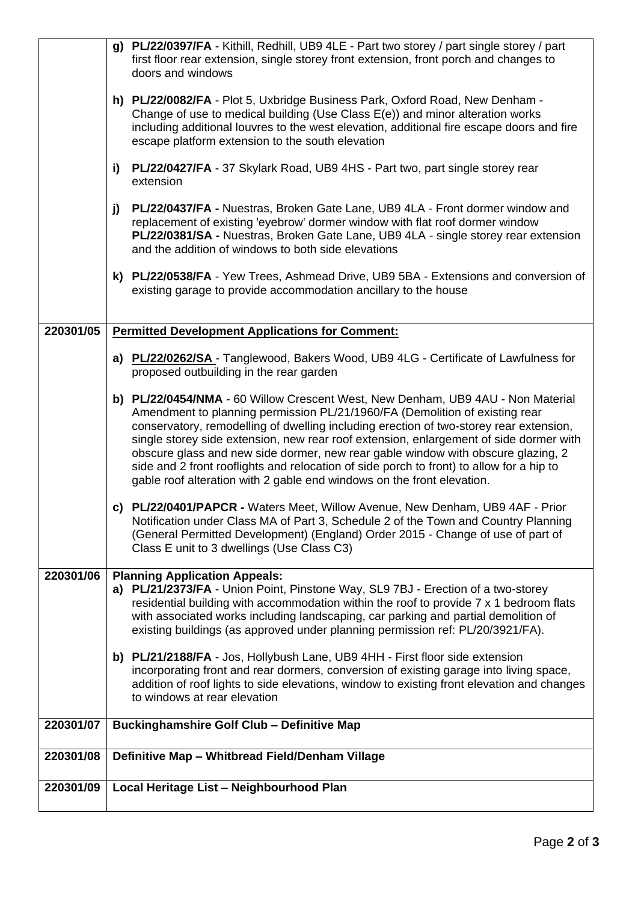|           | g) PL/22/0397/FA - Kithill, Redhill, UB9 4LE - Part two storey / part single storey / part<br>first floor rear extension, single storey front extension, front porch and changes to<br>doors and windows                                                                                                                                                                                                                                                                                                                                                                                                     |  |  |  |
|-----------|--------------------------------------------------------------------------------------------------------------------------------------------------------------------------------------------------------------------------------------------------------------------------------------------------------------------------------------------------------------------------------------------------------------------------------------------------------------------------------------------------------------------------------------------------------------------------------------------------------------|--|--|--|
|           | h) PL/22/0082/FA - Plot 5, Uxbridge Business Park, Oxford Road, New Denham -<br>Change of use to medical building (Use Class E(e)) and minor alteration works<br>including additional louvres to the west elevation, additional fire escape doors and fire<br>escape platform extension to the south elevation                                                                                                                                                                                                                                                                                               |  |  |  |
|           | PL/22/0427/FA - 37 Skylark Road, UB9 4HS - Part two, part single storey rear<br>i)<br>extension                                                                                                                                                                                                                                                                                                                                                                                                                                                                                                              |  |  |  |
|           | PL/22/0437/FA - Nuestras, Broken Gate Lane, UB9 4LA - Front dormer window and<br>j)<br>replacement of existing 'eyebrow' dormer window with flat roof dormer window<br>PL/22/0381/SA - Nuestras, Broken Gate Lane, UB9 4LA - single storey rear extension<br>and the addition of windows to both side elevations                                                                                                                                                                                                                                                                                             |  |  |  |
|           | k) PL/22/0538/FA - Yew Trees, Ashmead Drive, UB9 5BA - Extensions and conversion of<br>existing garage to provide accommodation ancillary to the house                                                                                                                                                                                                                                                                                                                                                                                                                                                       |  |  |  |
| 220301/05 | <b>Permitted Development Applications for Comment:</b>                                                                                                                                                                                                                                                                                                                                                                                                                                                                                                                                                       |  |  |  |
|           | a) PL/22/0262/SA - Tanglewood, Bakers Wood, UB9 4LG - Certificate of Lawfulness for<br>proposed outbuilding in the rear garden                                                                                                                                                                                                                                                                                                                                                                                                                                                                               |  |  |  |
|           | b) PL/22/0454/NMA - 60 Willow Crescent West, New Denham, UB9 4AU - Non Material<br>Amendment to planning permission PL/21/1960/FA (Demolition of existing rear<br>conservatory, remodelling of dwelling including erection of two-storey rear extension,<br>single storey side extension, new rear roof extension, enlargement of side dormer with<br>obscure glass and new side dormer, new rear gable window with obscure glazing, 2<br>side and 2 front rooflights and relocation of side porch to front) to allow for a hip to<br>gable roof alteration with 2 gable end windows on the front elevation. |  |  |  |
|           | c) PL/22/0401/PAPCR - Waters Meet, Willow Avenue, New Denham, UB9 4AF - Prior<br>Notification under Class MA of Part 3, Schedule 2 of the Town and Country Planning<br>(General Permitted Development) (England) Order 2015 - Change of use of part of<br>Class E unit to 3 dwellings (Use Class C3)                                                                                                                                                                                                                                                                                                         |  |  |  |
| 220301/06 | <b>Planning Application Appeals:</b><br>a) PL/21/2373/FA - Union Point, Pinstone Way, SL9 7BJ - Erection of a two-storey<br>residential building with accommodation within the roof to provide 7 x 1 bedroom flats<br>with associated works including landscaping, car parking and partial demolition of<br>existing buildings (as approved under planning permission ref: PL/20/3921/FA).                                                                                                                                                                                                                   |  |  |  |
|           | b) PL/21/2188/FA - Jos, Hollybush Lane, UB9 4HH - First floor side extension<br>incorporating front and rear dormers, conversion of existing garage into living space,<br>addition of roof lights to side elevations, window to existing front elevation and changes<br>to windows at rear elevation                                                                                                                                                                                                                                                                                                         |  |  |  |
| 220301/07 | <b>Buckinghamshire Golf Club - Definitive Map</b>                                                                                                                                                                                                                                                                                                                                                                                                                                                                                                                                                            |  |  |  |
| 220301/08 | Definitive Map - Whitbread Field/Denham Village                                                                                                                                                                                                                                                                                                                                                                                                                                                                                                                                                              |  |  |  |
| 220301/09 | Local Heritage List - Neighbourhood Plan                                                                                                                                                                                                                                                                                                                                                                                                                                                                                                                                                                     |  |  |  |